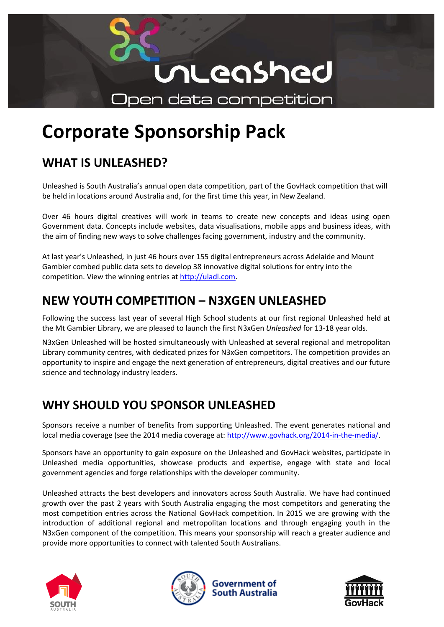

# **Corporate Sponsorship Pack**

# **WHAT IS UNLEASHED?**

Unleashed is South Australia's annual open data competition, part of the GovHack competition that will be held in locations around Australia and, for the first time this year, in New Zealand.

Over 46 hours digital creatives will work in teams to create new concepts and ideas using open Government data. Concepts include websites, data visualisations, mobile apps and business ideas, with the aim of finding new ways to solve challenges facing government, industry and the community.

At last year's Unleashed*,* in just 46 hours over 155 digital entrepreneurs across Adelaide and Mount Gambier combed public data sets to develop 38 innovative digital solutions for entry into the competition. View the winning entries at [http://uladl.com.](http://uladl.com/past-competitions/unleashed-2014-winners/)

# **NEW YOUTH COMPETITION – N3XGEN UNLEASHED**

Following the success last year of several High School students at our first regional Unleashed held at the Mt Gambier Library, we are pleased to launch the first N3xGen *Unleashed* for 13-18 year olds.

N3xGen Unleashed will be hosted simultaneously with Unleashed at several regional and metropolitan Library community centres, with dedicated prizes for N3xGen competitors. The competition provides an opportunity to inspire and engage the next generation of entrepreneurs, digital creatives and our future science and technology industry leaders.

# **WHY SHOULD YOU SPONSOR UNLEASHED**

Sponsors receive a number of benefits from supporting Unleashed. The event generates national and local media coverage (see the 2014 media coverage at: [http://www.govhack.org/2014-in-the-media/.](http://www.govhack.org/2014-in-the-media/)

Sponsors have an opportunity to gain exposure on the Unleashed and GovHack websites, participate in Unleashed media opportunities, showcase products and expertise, engage with state and local government agencies and forge relationships with the developer community.

Unleashed attracts the best developers and innovators across South Australia. We have had continued growth over the past 2 years with South Australia engaging the most competitors and generating the most competition entries across the National GovHack competition. In 2015 we are growing with the introduction of additional regional and metropolitan locations and through engaging youth in the N3xGen component of the competition. This means your sponsorship will reach a greater audience and provide more opportunities to connect with talented South Australians.







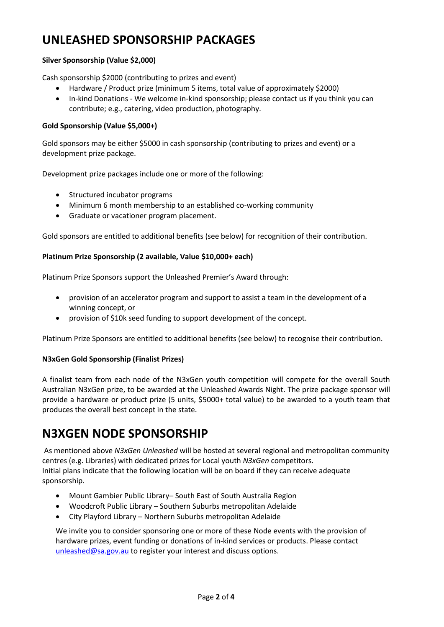# **UNLEASHED SPONSORSHIP PACKAGES**

### **Silver Sponsorship (Value \$2,000)**

Cash sponsorship \$2000 (contributing to prizes and event)

- Hardware / Product prize (minimum 5 items, total value of approximately \$2000)
- In-kind Donations We welcome in-kind sponsorship; please contact us if you think you can contribute; e.g., catering, video production, photography.

### **Gold Sponsorship (Value \$5,000+)**

Gold sponsors may be either \$5000 in cash sponsorship (contributing to prizes and event) or a development prize package.

Development prize packages include one or more of the following:

- Structured incubator programs
- Minimum 6 month membership to an established co-working community
- Graduate or vacationer program placement.

Gold sponsors are entitled to additional benefits (see below) for recognition of their contribution.

### **Platinum Prize Sponsorship (2 available, Value \$10,000+ each)**

Platinum Prize Sponsors support the Unleashed Premier's Award through:

- provision of an accelerator program and support to assist a team in the development of a winning concept, or
- provision of \$10k seed funding to support development of the concept.

Platinum Prize Sponsors are entitled to additional benefits (see below) to recognise their contribution.

### **N3xGen Gold Sponsorship (Finalist Prizes)**

A finalist team from each node of the N3xGen youth competition will compete for the overall South Australian N3xGen prize, to be awarded at the Unleashed Awards Night. The prize package sponsor will provide a hardware or product prize (5 units, \$5000+ total value) to be awarded to a youth team that produces the overall best concept in the state.

### **N3XGEN NODE SPONSORSHIP**

As mentioned above *N3xGen Unleashed* will be hosted at several regional and metropolitan community centres (e.g. Libraries) with dedicated prizes for Local youth *N3xGen* competitors. Initial plans indicate that the following location will be on board if they can receive adequate sponsorship.

- Mount Gambier Public Library– South East of South Australia Region
- Woodcroft Public Library Southern Suburbs metropolitan Adelaide
- City Playford Library Northern Suburbs metropolitan Adelaide

We invite you to consider sponsoring one or more of these Node events with the provision of hardware prizes, event funding or donations of in-kind services or products. Please contact [unleashed@sa.gov.au](mailto:unleashed@sa.gov.au) to register your interest and discuss options.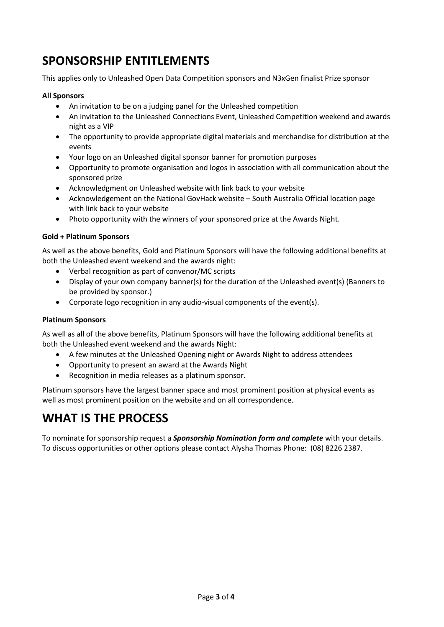# **SPONSORSHIP ENTITLEMENTS**

This applies only to Unleashed Open Data Competition sponsors and N3xGen finalist Prize sponsor

### **All Sponsors**

- An invitation to be on a judging panel for the Unleashed competition
- An invitation to the Unleashed Connections Event, Unleashed Competition weekend and awards night as a VIP
- The opportunity to provide appropriate digital materials and merchandise for distribution at the events
- Your logo on an Unleashed digital sponsor banner for promotion purposes
- Opportunity to promote organisation and logos in association with all communication about the sponsored prize
- Acknowledgment on Unleashed website with link back to your website
- Acknowledgement on the National GovHack website South Australia Official location page with link back to your website
- Photo opportunity with the winners of your sponsored prize at the Awards Night.

### **Gold + Platinum Sponsors**

As well as the above benefits, Gold and Platinum Sponsors will have the following additional benefits at both the Unleashed event weekend and the awards night:

- Verbal recognition as part of convenor/MC scripts
- Display of your own company banner(s) for the duration of the Unleashed event(s) (Banners to be provided by sponsor.)
- Corporate logo recognition in any audio-visual components of the event(s).

#### **Platinum Sponsors**

As well as all of the above benefits, Platinum Sponsors will have the following additional benefits at both the Unleashed event weekend and the awards Night:

- A few minutes at the Unleashed Opening night or Awards Night to address attendees
- Opportunity to present an award at the Awards Night
- Recognition in media releases as a platinum sponsor.

Platinum sponsors have the largest banner space and most prominent position at physical events as well as most prominent position on the website and on all correspondence.

# **WHAT IS THE PROCESS**

To nominate for sponsorship request a *Sponsorship Nomination form and complete* with your details. To discuss opportunities or other options please contact Alysha Thomas Phone: (08) 8226 2387.